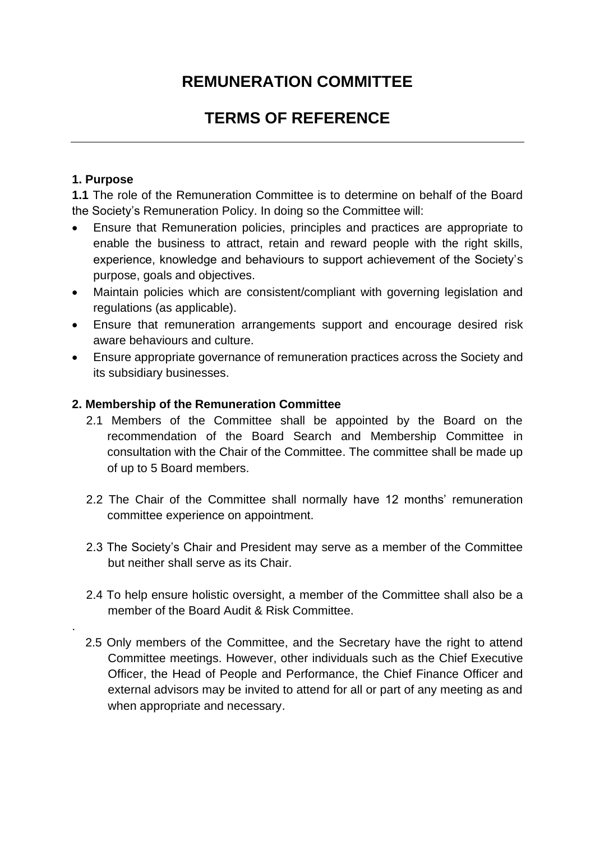## **REMUNERATION COMMITTEE**

# **TERMS OF REFERENCE**

## **1. Purpose**

.

**1.1** The role of the Remuneration Committee is to determine on behalf of the Board the Society's Remuneration Policy. In doing so the Committee will:

- Ensure that Remuneration policies, principles and practices are appropriate to enable the business to attract, retain and reward people with the right skills, experience, knowledge and behaviours to support achievement of the Society's purpose, goals and objectives.
- Maintain policies which are consistent/compliant with governing legislation and regulations (as applicable).
- Ensure that remuneration arrangements support and encourage desired risk aware behaviours and culture.
- Ensure appropriate governance of remuneration practices across the Society and its subsidiary businesses.

## **2. Membership of the Remuneration Committee**

- 2.1 Members of the Committee shall be appointed by the Board on the recommendation of the Board Search and Membership Committee in consultation with the Chair of the Committee. The committee shall be made up of up to 5 Board members.
- 2.2 The Chair of the Committee shall normally have 12 months' remuneration committee experience on appointment.
- 2.3 The Society's Chair and President may serve as a member of the Committee but neither shall serve as its Chair.
- 2.4 To help ensure holistic oversight, a member of the Committee shall also be a member of the Board Audit & Risk Committee.
- 2.5 Only members of the Committee, and the Secretary have the right to attend Committee meetings. However, other individuals such as the Chief Executive Officer, the Head of People and Performance, the Chief Finance Officer and external advisors may be invited to attend for all or part of any meeting as and when appropriate and necessary.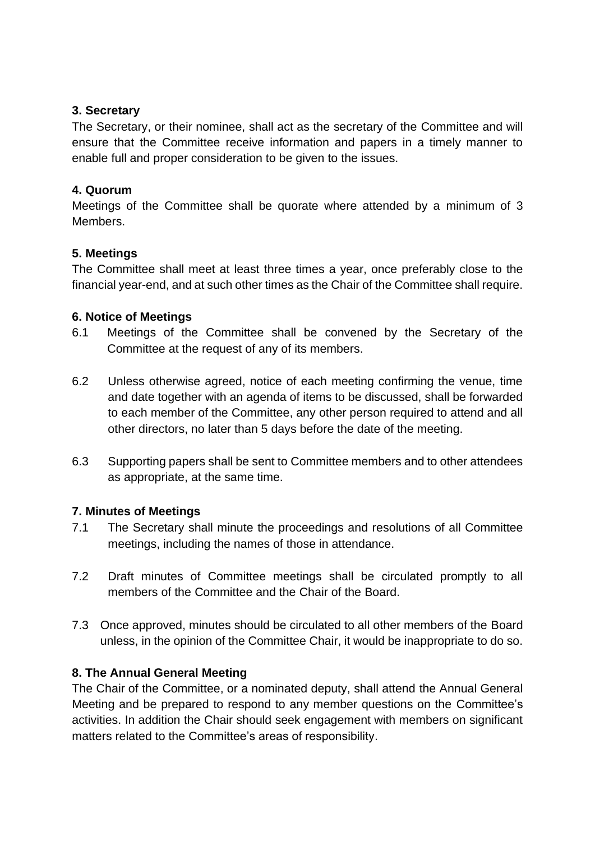## **3. Secretary**

The Secretary, or their nominee, shall act as the secretary of the Committee and will ensure that the Committee receive information and papers in a timely manner to enable full and proper consideration to be given to the issues.

#### **4. Quorum**

Meetings of the Committee shall be quorate where attended by a minimum of 3 Members.

#### **5. Meetings**

The Committee shall meet at least three times a year, once preferably close to the financial year-end, and at such other times as the Chair of the Committee shall require.

#### **6. Notice of Meetings**

- 6.1 Meetings of the Committee shall be convened by the Secretary of the Committee at the request of any of its members.
- 6.2 Unless otherwise agreed, notice of each meeting confirming the venue, time and date together with an agenda of items to be discussed, shall be forwarded to each member of the Committee, any other person required to attend and all other directors, no later than 5 days before the date of the meeting.
- 6.3 Supporting papers shall be sent to Committee members and to other attendees as appropriate, at the same time.

## **7. Minutes of Meetings**

- 7.1 The Secretary shall minute the proceedings and resolutions of all Committee meetings, including the names of those in attendance.
- 7.2 Draft minutes of Committee meetings shall be circulated promptly to all members of the Committee and the Chair of the Board.
- 7.3 Once approved, minutes should be circulated to all other members of the Board unless, in the opinion of the Committee Chair, it would be inappropriate to do so.

## **8. The Annual General Meeting**

The Chair of the Committee, or a nominated deputy, shall attend the Annual General Meeting and be prepared to respond to any member questions on the Committee's activities. In addition the Chair should seek engagement with members on significant matters related to the Committee's areas of responsibility.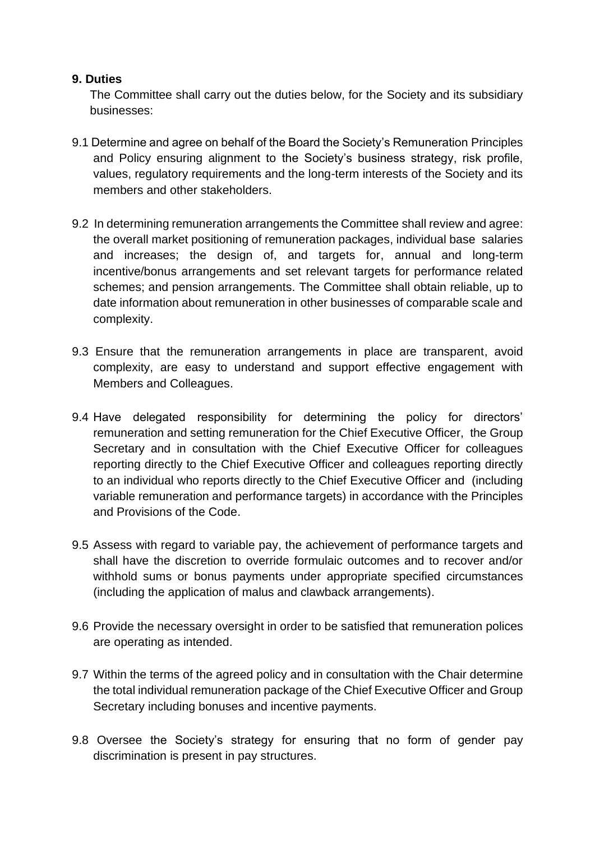#### **9. Duties**

The Committee shall carry out the duties below, for the Society and its subsidiary businesses:

- 9.1 Determine and agree on behalf of the Board the Society's Remuneration Principles and Policy ensuring alignment to the Society's business strategy, risk profile, values, regulatory requirements and the long-term interests of the Society and its members and other stakeholders.
- 9.2 In determining remuneration arrangements the Committee shall review and agree: the overall market positioning of remuneration packages, individual base salaries and increases; the design of, and targets for, annual and long-term incentive/bonus arrangements and set relevant targets for performance related schemes; and pension arrangements. The Committee shall obtain reliable, up to date information about remuneration in other businesses of comparable scale and complexity.
- 9.3 Ensure that the remuneration arrangements in place are transparent, avoid complexity, are easy to understand and support effective engagement with Members and Colleagues.
- 9.4 Have delegated responsibility for determining the policy for directors' remuneration and setting remuneration for the Chief Executive Officer, the Group Secretary and in consultation with the Chief Executive Officer for colleagues reporting directly to the Chief Executive Officer and colleagues reporting directly to an individual who reports directly to the Chief Executive Officer and (including variable remuneration and performance targets) in accordance with the Principles and Provisions of the Code.
- 9.5 Assess with regard to variable pay, the achievement of performance targets and shall have the discretion to override formulaic outcomes and to recover and/or withhold sums or bonus payments under appropriate specified circumstances (including the application of malus and clawback arrangements).
- 9.6 Provide the necessary oversight in order to be satisfied that remuneration polices are operating as intended.
- 9.7 Within the terms of the agreed policy and in consultation with the Chair determine the total individual remuneration package of the Chief Executive Officer and Group Secretary including bonuses and incentive payments.
- 9.8 Oversee the Society's strategy for ensuring that no form of gender pay discrimination is present in pay structures.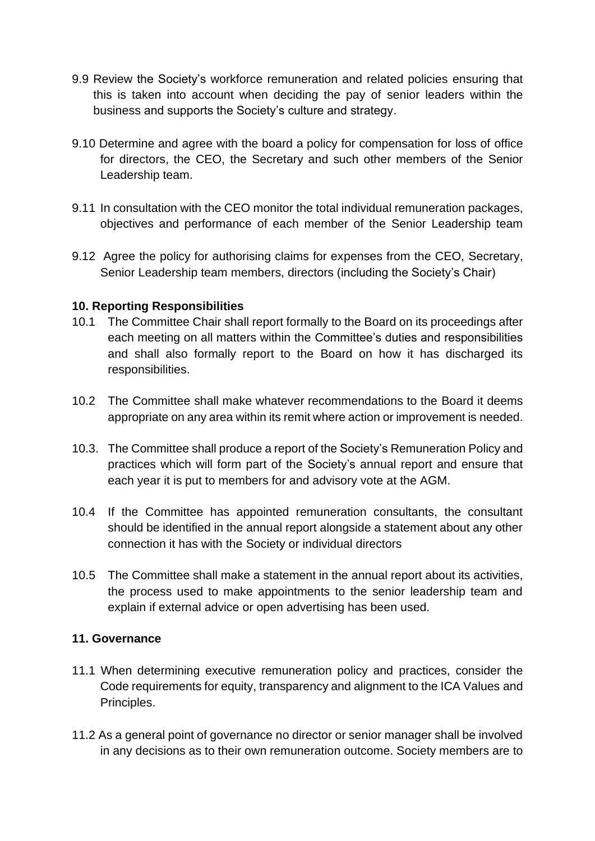- 9.9 Review the Society's workforce remuneration and related policies ensuring that this is taken into account when deciding the pay of senior leaders within the business and supports the Society's culture and strategy.
- 9.10 Determine and agree with the board a policy for compensation for loss of office for directors, the CEO, the Secretary and such other members of the Senior Leadership team.
- 9.11 In consultation with the CEO monitor the total individual remuneration packages, objectives and performance of each member of the Senior Leadership team
- 9.12 Agree the policy for authorising claims for expenses from the CEO, Secretary, Senior Leadership team members, directors (including the Society's Chair)

#### **10. Reporting Responsibilities**

- 10.1 The Committee Chair shall report formally to the Board on its proceedings after each meeting on all matters within the Committee's duties and responsibilities and shall also formally report to the Board on how it has discharged its responsibilities.
- 10.2 The Committee shall make whatever recommendations to the Board it deems appropriate on any area within its remit where action or improvement is needed.
- 10.3. The Committee shall produce a report of the Society's Remuneration Policy and practices which will form part of the Society's annual report and ensure that each year it is put to members for and advisory vote at the AGM.
- 10.4 If the Committee has appointed remuneration consultants, the consultant should be identified in the annual report alongside a statement about any other connection it has with the Society or individual directors
- 10.5 The Committee shall make a statement in the annual report about its activities, the process used to make appointments to the senior leadership team and explain if external advice or open advertising has been used.

## **11. Governance**

- 11.1 When determining executive remuneration policy and practices, consider the Code requirements for equity, transparency and alignment to the ICA Values and Principles.
- 11.2 As a general point of governance no director or senior manager shall be involved in any decisions as to their own remuneration outcome. Society members are to